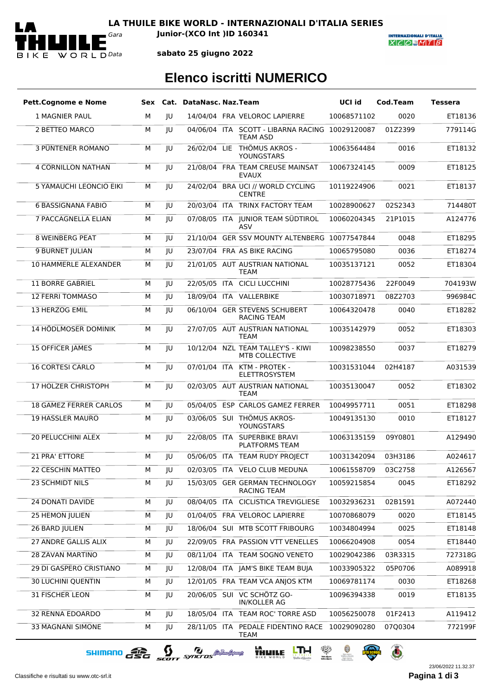

**LA THUILE BIKE WORLD - INTERNAZIONALI D'ITALIA SERIES** *Gara* **Junior-(XCO Int )ID 160341**

**INTERNAZIONALI D'ITALIA**  $X|C|O=M|T|B$ 

**sabato 25 giugno 2022**

## **Elenco iscritti NUMERICO**

| <b>Pett.Cognome e Nome</b>    |   |    | Sex Cat. DataNasc. Naz. Team |                                                                    | UCI id      | Cod.Team | <b>Tessera</b> |
|-------------------------------|---|----|------------------------------|--------------------------------------------------------------------|-------------|----------|----------------|
| <b>1 MAGNIER PAUL</b>         | м | JU |                              | 14/04/04 FRA VELOROC LAPIERRE                                      | 10068571102 | 0020     | ET18136        |
| 2 BETTEO MARCO                | М | JU |                              | 04/06/04 ITA SCOTT - LIBARNA RACING 10029120087<br><b>TEAM ASD</b> |             | 01Z2399  | 779114G        |
| <b>3 PÜNTENER ROMANO</b>      | М | JU |                              | 26/02/04 LIE THÖMUS AKROS -<br>YOUNGSTARS                          | 10063564484 | 0016     | ET18132        |
| <b>4 CORNILLON NATHAN</b>     | M | JU |                              | 21/08/04 FRA TEAM CREUSE MAINSAT<br><b>EVAUX</b>                   | 10067324145 | 0009     | ET18125        |
| 5 YAMAUCHI LEONCIO EIKI       | M | JU |                              | 24/02/04 BRA UCI // WORLD CYCLING<br><b>CENTRE</b>                 | 10119224906 | 0021     | ET18137        |
| <b>6 BASSIGNANA FABIO</b>     | М | JU |                              | 20/03/04 ITA TRINX FACTORY TEAM                                    | 10028900627 | 02S2343  | 714480T        |
| <b>7 PACCAGNELLA ELIAN</b>    | М | IU |                              | 07/08/05 ITA JUNIOR TEAM SÜDTIROL<br>ASV                           | 10060204345 | 21P1015  | A124776        |
| <b>8 WEINBERG PEAT</b>        | М | JU |                              | 21/10/04 GER SSV MOUNTY ALTENBERG 10077547844                      |             | 0048     | ET18295        |
| 9 BURNET JULIAN               | М | JU |                              | 23/07/04 FRA AS BIKE RACING                                        | 10065795080 | 0036     | ET18274        |
| <b>10 HAMMERLE ALEXANDER</b>  | М | JU |                              | 21/01/05 AUT AUSTRIAN NATIONAL<br><b>TEAM</b>                      | 10035137121 | 0052     | ET18304        |
| <b>11 BORRE GABRIEL</b>       | М | JU |                              | 22/05/05 ITA CICLI LUCCHINI                                        | 10028775436 | 22F0049  | 704193W        |
| <b>12 FERRI TOMMASO</b>       | М | JU |                              | 18/09/04 ITA VALLERBIKE                                            | 10030718971 | 08Z2703  | 996984C        |
| 13 HERZOG EMIL                | М | JU |                              | 06/10/04 GER STEVENS SCHUBERT<br><b>RACING TEAM</b>                | 10064320478 | 0040     | ET18282        |
| 14 HÖDLMOSER DOMINIK          | М | JU |                              | 27/07/05 AUT AUSTRIAN NATIONAL<br><b>TEAM</b>                      | 10035142979 | 0052     | ET18303        |
| <b>15 OFFICER JAMES</b>       | М | JU |                              | 10/12/04 NZL TEAM TALLEY'S - KIWI<br>MTB COLLECTIVE                | 10098238550 | 0037     | ET18279        |
| <b>16 CORTESI CARLO</b>       | M | JU |                              | 07/01/04 ITA KTM - PROTEK -<br>ELETTROSYSTEM                       | 10031531044 | 02H4187  | A031539        |
| <b>17 HOLZER CHRISTOPH</b>    | М | JU |                              | 02/03/05 AUT AUSTRIAN NATIONAL<br><b>TEAM</b>                      | 10035130047 | 0052     | ET18302        |
| <b>18 GAMEZ FERRER CARLOS</b> | M | JU |                              | 05/04/05 ESP CARLOS GAMEZ FERRER                                   | 10049957711 | 0051     | ET18298        |
| <b>19 HASSLER MAURO</b>       | М | JU |                              | 03/06/05 SUI THÖMUS AKROS-<br>YOUNGSTARS                           | 10049135130 | 0010     | ET18127        |
| <b>20 PELUCCHINI ALEX</b>     | М | JU |                              | 22/08/05 ITA SUPERBIKE BRAVI<br><b>PLATFORMS TEAM</b>              | 10063135159 | 09Y0801  | A129490        |
| <b>21 PRA' ETTORE</b>         | м | IU |                              | 05/06/05 ITA TEAM RUDY PROJECT                                     | 10031342094 | 03H3186  | A024617        |
| 22 CESCHIN MATTEO             | М | JU |                              | 02/03/05 ITA VELO CLUB MEDUNA                                      | 10061558709 | 03C2758  | A126567        |
| 23 SCHMIDT NILS               | М | JU |                              | 15/03/05 GER GERMAN TECHNOLOGY<br><b>RACING TEAM</b>               | 10059215854 | 0045     | ET18292        |
| <b>24 DONATI DAVIDE</b>       | М | JU |                              | 08/04/05 ITA CICLISTICA TREVIGLIESE                                | 10032936231 | 02B1591  | A072440        |
| <b>25 HEMON JULIEN</b>        | М | JU |                              | 01/04/05 FRA VELOROC LAPIERRE                                      | 10070868079 | 0020     | ET18145        |
| <b>26 BARD JULIEN</b>         | М | JU |                              | 18/06/04 SUI MTB SCOTT FRIBOURG                                    | 10034804994 | 0025     | ET18148        |
| 27 ANDRE GALLIS ALIX          | м | JU |                              | 22/09/05 FRA PASSION VTT VENELLES                                  | 10066204908 | 0054     | ET18440        |
| <b>28 ZAVAN MARTINO</b>       | М | JU |                              | 08/11/04 ITA TEAM SOGNO VENETO                                     | 10029042386 | 03R3315  | 727318G        |
| 29 DI GASPERO CRISTIANO       | М | JU |                              | 12/08/04 ITA JAM'S BIKE TEAM BUJA                                  | 10033905322 | 05P0706  | A089918        |
| <b>30 LUCHINI QUENTIN</b>     | м | JU |                              | 12/01/05 FRA TEAM VCA ANJOS KTM                                    | 10069781174 | 0030     | ET18268        |
| 31 FISCHER LEON               | М | JU |                              | 20/06/05 SUI VC SCHÖTZ GO-<br>IN/KOLLER AG                         | 10096394338 | 0019     | ET18135        |
| 32 RENNA EDOARDO              | М | JU |                              | 18/05/04 ITA TEAM ROC' TORRE ASD                                   | 10056250078 | 01F2413  | A119412        |
| 33 MAGNANI SIMONE             | М | JU |                              | 28/11/05 ITA PEDALE FIDENTINO RACE 10029090280<br>TEAM             |             | 07Q0304  | 772199F        |

SHIMANO GSG SCOTT SYNCTOS @ MARIAM THUILE LTH R R R & C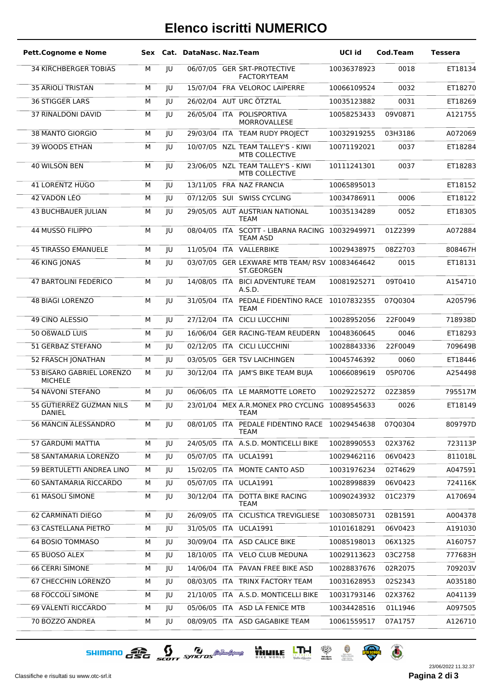## **Elenco iscritti NUMERICO**

| <b>Pett.Cognome e Nome</b>                  |   |    | Sex Cat. DataNasc. Naz. Team |                                                                    | UCI id      | Cod.Team | <b>Tessera</b> |
|---------------------------------------------|---|----|------------------------------|--------------------------------------------------------------------|-------------|----------|----------------|
| <b>34 KIRCHBERGER TOBIAS</b>                | М | JU |                              | 06/07/05 GER SRT-PROTECTIVE<br><b>FACTORYTEAM</b>                  | 10036378923 | 0018     | ET18134        |
| <b>35 ARIOLI TRISTAN</b>                    | М | JU |                              | 15/07/04 FRA VELOROC LAIPERRE                                      | 10066109524 | 0032     | ET18270        |
| 36 STIGGER LARS                             | М | JU |                              | 26/02/04 AUT URC ÖTZTAL                                            | 10035123882 | 0031     | ET18269        |
| <b>37 RINALDONI DAVID</b>                   | М | JU |                              | 26/05/04 ITA POLISPORTIVA<br>MORROVALLESE                          | 10058253433 | 09V0871  | A121755        |
| 38 MANTO GIORGIO                            | М | JU |                              | 29/03/04 ITA TEAM RUDY PROJECT                                     | 10032919255 | 03H3186  | A072069        |
| <b>39 WOODS ETHAN</b>                       | М | JU |                              | 10/07/05 NZL TEAM TALLEY'S - KIWI<br><b>MTB COLLECTIVE</b>         | 10071192021 | 0037     | ET18284        |
| 40 WILSON BEN                               | М | JU |                              | 23/06/05 NZL TEAM TALLEY'S - KIWI<br><b>MTB COLLECTIVE</b>         | 10111241301 | 0037     | ET18283        |
| <b>41 LORENTZ HUGO</b>                      | М | JU |                              | 13/11/05 FRA NAZ FRANCIA                                           | 10065895013 |          | ET18152        |
| 42 VADON LÉO                                | М | JU |                              | 07/12/05 SUI SWISS CYCLING                                         | 10034786911 | 0006     | ET18122        |
| <b>43 BUCHBAUER JULIAN</b>                  | М | JU |                              | 29/05/05 AUT AUSTRIAN NATIONAL<br><b>TEAM</b>                      | 10035134289 | 0052     | ET18305        |
| 44 MUSSO FILIPPO                            | М | JU |                              | 08/04/05 ITA SCOTT - LIBARNA RACING 10032949971<br><b>TEAM ASD</b> |             | 01Z2399  | A072884        |
| <b>45 TIRASSO EMANUELE</b>                  | М | JU |                              | 11/05/04 ITA VALLERBIKE                                            | 10029438975 | 08Z2703  | 808467H        |
| <b>46 KING JONAS</b>                        | M | JU |                              | 03/07/05 GER LEXWARE MTB TEAM/ RSV 10083464642<br>ST.GEORGEN       |             | 0015     | ET18131        |
| <b>47 BARTOLINI FEDERICO</b>                | М | JU | 14/08/05 ITA                 | <b>BICI ADVENTURE TEAM</b><br>A.S.D.                               | 10081925271 | 09T0410  | A154710        |
| <b>48 BIAGI LORENZO</b>                     | M | JU | 31/05/04 ITA                 | PEDALE FIDENTINO RACE 10107832355<br><b>TEAM</b>                   |             | 07Q0304  | A205796        |
| 49 CINO ALESSIO                             | М | JU |                              | 27/12/04 ITA CICLI LUCCHINI                                        | 10028952056 | 22F0049  | 718938D        |
| 50 OßWALD LUIS                              | М | JU |                              | 16/06/04 GER RACING-TEAM REUDERN                                   | 10048360645 | 0046     | ET18293        |
| <b>51 GERBAZ STEFANO</b>                    | М | JU |                              | 02/12/05 ITA CICLI LUCCHINI                                        | 10028843336 | 22F0049  | 709649B        |
| 52 FRASCH JONATHAN                          | М | JU |                              | 03/05/05 GER TSV LAICHINGEN                                        | 10045746392 | 0060     | ET18446        |
| 53 BISARO GABRIEL LORENZO<br><b>MICHELE</b> | М | JU |                              | 30/12/04 ITA JAM'S BIKE TEAM BUJA                                  | 10066089619 | 05P0706  | A254498        |
| <b>54 NAVONI STEFANO</b>                    | М | JU |                              | 06/06/05 ITA LE MARMOTTE LORETO                                    | 10029225272 | 02Z3859  | 795517M        |
| 55 GUTIERREZ GUZMAN NILS<br>DANIEL          | М | JU |                              | 23/01/04 MEX A.R.MONEX PRO CYCLING 10089545633<br>TEAM             |             | 0026     | ET18149        |
| 56 MANCIN ALESSANDRO                        | м | JU |                              | 08/01/05 ITA PEDALE FIDENTINO RACE 10029454638<br>TEAM             |             | 07Q0304  | 809797D        |
| 57 GARDUMI MATTIA                           | М | JU |                              | 24/05/05 ITA A.S.D. MONTICELLI BIKE                                | 10028990553 | 02X3762  | 723113P        |
| 58 SANTAMARIA LORENZO                       | М | JU |                              | 05/07/05 ITA UCLA1991                                              | 10029462116 | 06V0423  | 811018L        |
| 59 BERTULETTI ANDREA LINO                   | М | JU |                              | 15/02/05 ITA MONTE CANTO ASD                                       | 10031976234 | 02T4629  | A047591        |
| 60 SANTAMARIA RICCARDO                      | М | JU |                              | 05/07/05 ITA UCLA1991                                              | 10028998839 | 06V0423  | 724116K        |
| <b>61 MASOLI SIMONE</b>                     | М | JU |                              | 30/12/04 ITA DOTTA BIKE RACING<br><b>TEAM</b>                      | 10090243932 | 01C2379  | A170694        |
| <b>62 CARMINATI DIEGO</b>                   | М | JU |                              | 26/09/05 ITA CICLISTICA TREVIGLIESE                                | 10030850731 | 02B1591  | A004378        |
| <b>63 CASTELLANA PIETRO</b>                 | М | JU |                              | 31/05/05 ITA UCLA1991                                              | 10101618291 | 06V0423  | A191030        |
| <b>64 BOSIO TOMMASO</b>                     | М | JU |                              | 30/09/04 ITA ASD CALICE BIKE                                       | 10085198013 | 06X1325  | A160757        |
| 65 BUOSO ALEX                               | М | JU |                              | 18/10/05 ITA VELO CLUB MEDUNA                                      | 10029113623 | 03C2758  | 777683H        |
| <b>66 CERRI SIMONE</b>                      | М | JU |                              | 14/06/04 ITA PAVAN FREE BIKE ASD                                   | 10028837676 | 02R2075  | 709203V        |
| 67 CHECCHIN LORENZO                         | М | JU |                              | 08/03/05 ITA TRINX FACTORY TEAM                                    | 10031628953 | 02S2343  | A035180        |
| <b>68 FOCCOLI SIMONE</b>                    | М | JU |                              | 21/10/05 ITA A.S.D. MONTICELLI BIKE                                | 10031793146 | 02X3762  | A041139        |
| 69 VALENTI RICCARDO                         | М | JU |                              | 05/06/05 ITA ASD LA FENICE MTB                                     | 10034428516 | 01L1946  | A097505        |
| 70 BOZZO ANDREA                             | М | JU |                              | 08/09/05 ITA ASD GAGABIKE TEAM                                     | 10061559517 | 07A1757  | A126710        |

 $\text{SHIMRRO} \begin{picture}(100,10) \put(0,0){\line(1,0){15}} \put(10,0){\line(1,0){15}} \put(10,0){\line(1,0){15}} \put(10,0){\line(1,0){15}} \put(10,0){\line(1,0){15}} \put(10,0){\line(1,0){15}} \put(10,0){\line(1,0){15}} \put(10,0){\line(1,0){15}} \put(10,0){\line(1,0){15}} \put(10,0){\line(1,0){15}} \put(10,0){\line(1,0){15}} \put$ 

23/06/2022 11.32.37